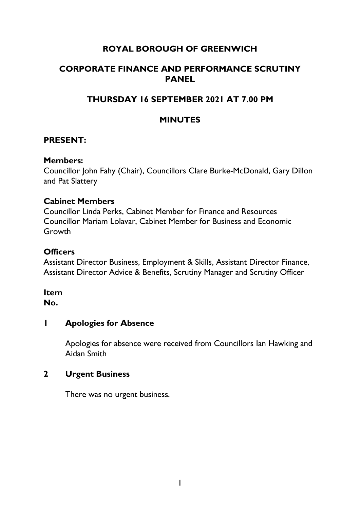# **ROYAL BOROUGH OF GREENWICH**

# **CORPORATE FINANCE AND PERFORMANCE SCRUTINY PANEL**

# **THURSDAY 16 SEPTEMBER 2021 AT 7.00 PM**

# **MINUTES**

## **PRESENT:**

#### **Members:**

Councillor John Fahy (Chair), Councillors Clare Burke-McDonald, Gary Dillon and Pat Slattery

#### **Cabinet Members**

Councillor Linda Perks, Cabinet Member for Finance and Resources Councillor Mariam Lolavar, Cabinet Member for Business and Economic Growth

# **Officers**

Assistant Director Business, Employment & Skills, Assistant Director Finance, Assistant Director Advice & Benefits, Scrutiny Manager and Scrutiny Officer

#### **Item No.**

#### **1 Apologies for Absence**

Apologies for absence were received from Councillors Ian Hawking and Aidan Smith

#### **2 Urgent Business**

There was no urgent business.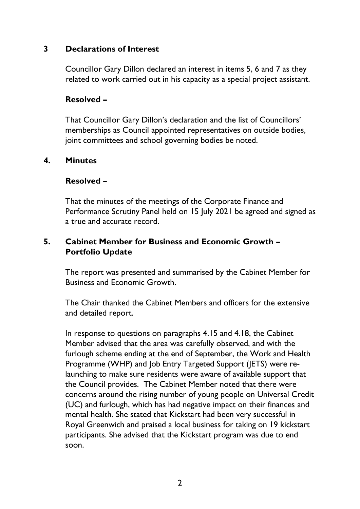#### **3 Declarations of Interest**

Councillor Gary Dillon declared an interest in items 5, 6 and 7 as they related to work carried out in his capacity as a special project assistant.

#### **Resolved –**

That Councillor Gary Dillon's declaration and the list of Councillors' memberships as Council appointed representatives on outside bodies, joint committees and school governing bodies be noted.

#### **4. Minutes**

#### **Resolved –**

That the minutes of the meetings of the Corporate Finance and Performance Scrutiny Panel held on 15 July 2021 be agreed and signed as a true and accurate record.

## **5. Cabinet Member for Business and Economic Growth – Portfolio Update**

The report was presented and summarised by the Cabinet Member for Business and Economic Growth.

The Chair thanked the Cabinet Members and officers for the extensive and detailed report.

In response to questions on paragraphs 4.15 and 4.18, the Cabinet Member advised that the area was carefully observed, and with the furlough scheme ending at the end of September, the Work and Health Programme (WHP) and Job Entry Targeted Support (JETS) were relaunching to make sure residents were aware of available support that the Council provides. The Cabinet Member noted that there were concerns around the rising number of young people on Universal Credit (UC) and furlough, which has had negative impact on their finances and mental health. She stated that Kickstart had been very successful in Royal Greenwich and praised a local business for taking on 19 kickstart participants. She advised that the Kickstart program was due to end soon.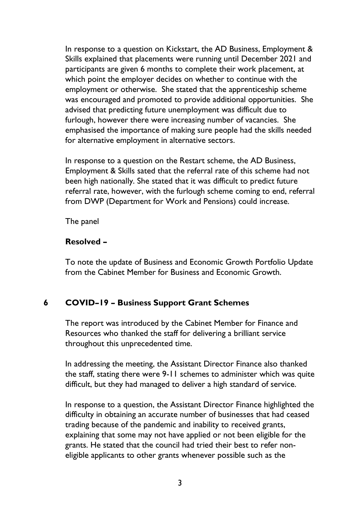In response to a question on Kickstart, the AD Business, Employment & Skills explained that placements were running until December 2021 and participants are given 6 months to complete their work placement, at which point the employer decides on whether to continue with the employment or otherwise. She stated that the apprenticeship scheme was encouraged and promoted to provide additional opportunities. She advised that predicting future unemployment was difficult due to furlough, however there were increasing number of vacancies. She emphasised the importance of making sure people had the skills needed for alternative employment in alternative sectors.

In response to a question on the Restart scheme, the AD Business, Employment & Skills sated that the referral rate of this scheme had not been high nationally. She stated that it was difficult to predict future referral rate, however, with the furlough scheme coming to end, referral from DWP (Department for Work and Pensions) could increase.

The panel

## **Resolved –**

To note the update of Business and Economic Growth Portfolio Update from the Cabinet Member for Business and Economic Growth.

# **6 COVID–19 – Business Support Grant Schemes**

The report was introduced by the Cabinet Member for Finance and Resources who thanked the staff for delivering a brilliant service throughout this unprecedented time.

In addressing the meeting, the Assistant Director Finance also thanked the staff, stating there were 9-11 schemes to administer which was quite difficult, but they had managed to deliver a high standard of service.

In response to a question, the Assistant Director Finance highlighted the difficulty in obtaining an accurate number of businesses that had ceased trading because of the pandemic and inability to received grants, explaining that some may not have applied or not been eligible for the grants. He stated that the council had tried their best to refer noneligible applicants to other grants whenever possible such as the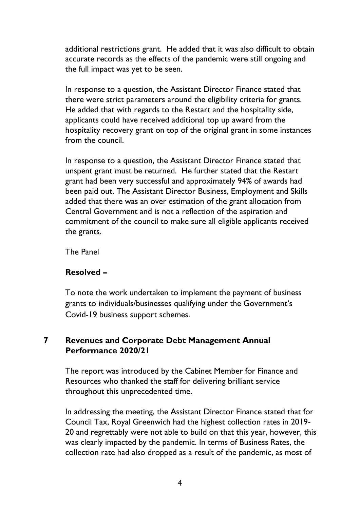additional restrictions grant. He added that it was also difficult to obtain accurate records as the effects of the pandemic were still ongoing and the full impact was yet to be seen.

In response to a question, the Assistant Director Finance stated that there were strict parameters around the eligibility criteria for grants. He added that with regards to the Restart and the hospitality side, applicants could have received additional top up award from the hospitality recovery grant on top of the original grant in some instances from the council.

In response to a question, the Assistant Director Finance stated that unspent grant must be returned. He further stated that the Restart grant had been very successful and approximately 94% of awards had been paid out. The Assistant Director Business, Employment and Skills added that there was an over estimation of the grant allocation from Central Government and is not a reflection of the aspiration and commitment of the council to make sure all eligible applicants received the grants.

The Panel

# **Resolved –**

To note the work undertaken to implement the payment of business grants to individuals/businesses qualifying under the Government's Covid-19 business support schemes.

# **7 Revenues and Corporate Debt Management Annual Performance 2020/21**

The report was introduced by the Cabinet Member for Finance and Resources who thanked the staff for delivering brilliant service throughout this unprecedented time.

In addressing the meeting, the Assistant Director Finance stated that for Council Tax, Royal Greenwich had the highest collection rates in 2019- 20 and regrettably were not able to build on that this year, however, this was clearly impacted by the pandemic. In terms of Business Rates, the collection rate had also dropped as a result of the pandemic, as most of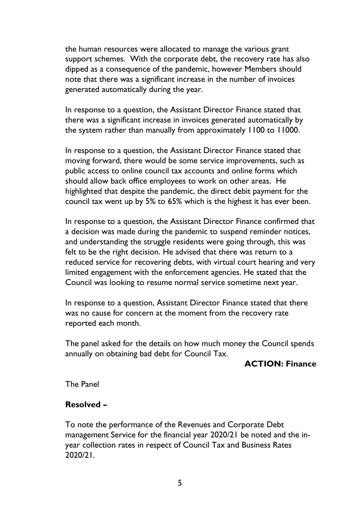the human resources were allocated to manage the various grant support schemes. With the corporate debt, the recovery rate has also dipped as a consequence of the pandemic, however Members should note that there was a significant increase in the number of invoices generated automatically during the year.

In response to a question, the Assistant Director Finance stated that there was a significant increase in invoices generated automatically by the system rather than manually from approximately 1100 to 11000.

In response to a question, the Assistant Director Finance stated that moving forward, there would be some service improvements, such as public access to online council tax accounts and online forms which should allow back office employees to work on other areas. He highlighted that despite the pandemic, the direct debit payment for the council tax went up by 5% to 65% which is the highest it has ever been.

In response to a question, the Assistant Director Finance confirmed that a decision was made during the pandemic to suspend reminder notices, and understanding the struggle residents were going through, this was felt to be the right decision. He advised that there was return to a reduced service for recovering debts, with virtual court hearing and very limited engagement with the enforcement agencies. He stated that the Council was looking to resume normal service sometime next year.

In response to a question, Assistant Director Finance stated that there was no cause for concern at the moment from the recovery rate reported each month.

The panel asked for the details on how much money the Council spends annually on obtaining bad debt for Council Tax.

#### **ACTION: Finance**

The Panel

# **Resolved –**

To note the performance of the Revenues and Corporate Debt management Service for the financial year 2020/21 be noted and the inyear collection rates in respect of Council Tax and Business Rates 2020/21.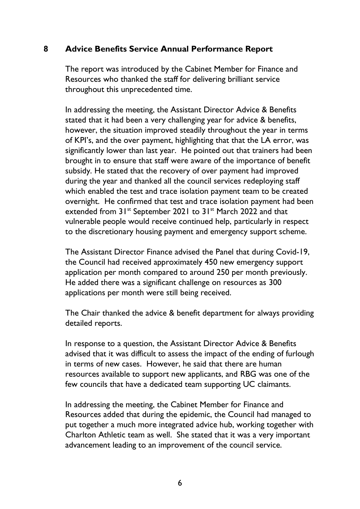#### **8 Advice Benefits Service Annual Performance Report**

The report was introduced by the Cabinet Member for Finance and Resources who thanked the staff for delivering brilliant service throughout this unprecedented time.

In addressing the meeting, the Assistant Director Advice & Benefits stated that it had been a very challenging year for advice & benefits, however, the situation improved steadily throughout the year in terms of KPI's, and the over payment, highlighting that that the LA error, was significantly lower than last year. He pointed out that trainers had been brought in to ensure that staff were aware of the importance of benefit subsidy. He stated that the recovery of over payment had improved during the year and thanked all the council services redeploying staff which enabled the test and trace isolation payment team to be created overnight. He confirmed that test and trace isolation payment had been extended from 31<sup>st</sup> September 2021 to 31<sup>st</sup> March 2022 and that vulnerable people would receive continued help, particularly in respect to the discretionary housing payment and emergency support scheme.

The Assistant Director Finance advised the Panel that during Covid-19, the Council had received approximately 450 new emergency support application per month compared to around 250 per month previously. He added there was a significant challenge on resources as 300 applications per month were still being received.

The Chair thanked the advice & benefit department for always providing detailed reports.

In response to a question, the Assistant Director Advice & Benefits advised that it was difficult to assess the impact of the ending of furlough in terms of new cases. However, he said that there are human resources available to support new applicants, and RBG was one of the few councils that have a dedicated team supporting UC claimants.

In addressing the meeting, the Cabinet Member for Finance and Resources added that during the epidemic, the Council had managed to put together a much more integrated advice hub, working together with Charlton Athletic team as well. She stated that it was a very important advancement leading to an improvement of the council service.